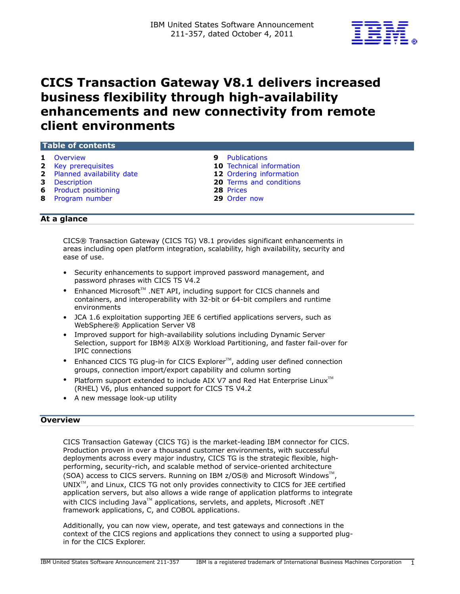

# CICS Transaction Gateway V8.1 delivers increased business flexibility through high-availability enhancements and new connectivity from remote client environments

## Table of contents

- 
- 
- **2** [Planned availability date](#page-1-1) 12 Ordering information
- 
- 6 [Product positioning](#page-5-0) 28 [Prices](#page-27-0)
- 8 [Program number](#page-7-0) 29 [Order now](#page-28-0)
- 1 [Overview](#page-0-0) **1** Overview **1** Overview **9** Publications
- 2 [Key prerequisites](#page-1-0) 2 Key prerequisites 2 Key prerequisites
	-
- **3** [Description](#page-2-0) **20** Terms and conditions
	-
	-

## At a glance

CICS® Transaction Gateway (CICS TG) V8.1 provides significant enhancements in areas including open platform integration, scalability, high availability, security and ease of use.

- Security enhancements to support improved password management, and password phrases with CICS TS V4.2
- Enhanced Microsoft™ .NET API, including support for CICS channels and containers, and interoperability with 32-bit or 64-bit compilers and runtime environments
- JCA 1.6 exploitation supporting JEE 6 certified applications servers, such as WebSphere® Application Server V8
- Improved support for high-availability solutions including Dynamic Server Selection, support for IBM® AIX® Workload Partitioning, and faster fail-over for IPIC connections
- Enhanced CICS TG plug-in for CICS Explorer<sup>TM</sup>, adding user defined connection groups, connection import/export capability and column sorting
- Platform support extended to include AIX V7 and Red Hat Enterprise Linux $T^M$ (RHEL) V6, plus enhanced support for CICS TS V4.2
- A new message look-up utility

## <span id="page-0-0"></span>**Overview**

CICS Transaction Gateway (CICS TG) is the market-leading IBM connector for CICS. Production proven in over a thousand customer environments, with successful deployments across every major industry, CICS TG is the strategic flexible, highperforming, security-rich, and scalable method of service-oriented architecture (SOA) access to CICS servers. Running on IBM z/OS® and Microsoft Windows<sup>™</sup>,  $UNIX^{\mathbb{M}}$ , and Linux, CICS TG not only provides connectivity to CICS for JEE certified application servers, but also allows a wide range of application platforms to integrate with CICS including Java<sup>TM</sup> applications, servlets, and applets, Microsoft .NET framework applications, C, and COBOL applications.

Additionally, you can now view, operate, and test gateways and connections in the context of the CICS regions and applications they connect to using a supported plugin for the CICS Explorer.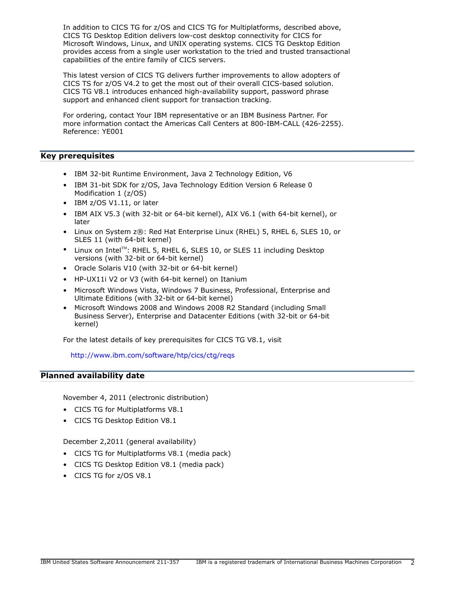In addition to CICS TG for z/OS and CICS TG for Multiplatforms, described above, CICS TG Desktop Edition delivers low-cost desktop connectivity for CICS for Microsoft Windows, Linux, and UNIX operating systems. CICS TG Desktop Edition provides access from a single user workstation to the tried and trusted transactional capabilities of the entire family of CICS servers.

This latest version of CICS TG delivers further improvements to allow adopters of CICS TS for z/OS V4.2 to get the most out of their overall CICS-based solution. CICS TG V8.1 introduces enhanced high-availability support, password phrase support and enhanced client support for transaction tracking.

For ordering, contact Your IBM representative or an IBM Business Partner. For more information contact the Americas Call Centers at 800-IBM-CALL (426-2255). Reference: YE001

## <span id="page-1-0"></span>Key prerequisites

- IBM 32-bit Runtime Environment, Java 2 Technology Edition, V6
- IBM 31-bit SDK for z/OS, Java Technology Edition Version 6 Release 0 Modification 1 (z/OS)
- IBM z/OS V1.11, or later
- IBM AIX V5.3 (with 32-bit or 64-bit kernel), AIX V6.1 (with 64-bit kernel), or later
- Linux on System z®: Red Hat Enterprise Linux (RHEL) 5, RHEL 6, SLES 10, or SLES 11 (with 64-bit kernel)
- Linux on Intel<sup>™</sup>: RHEL 5, RHEL 6, SLES 10, or SLES 11 including Desktop versions (with 32-bit or 64-bit kernel)
- Oracle Solaris V10 (with 32-bit or 64-bit kernel)
- HP-UX11i V2 or V3 (with 64-bit kernel) on Itanium
- Microsoft Windows Vista, Windows 7 Business, Professional, Enterprise and Ultimate Editions (with 32-bit or 64-bit kernel)
- Microsoft Windows 2008 and Windows 2008 R2 Standard (including Small Business Server), Enterprise and Datacenter Editions (with 32-bit or 64-bit kernel)

For the latest details of key prerequisites for CICS TG V8.1, visit

<http://www.ibm.com/software/htp/cics/ctg/reqs>

## <span id="page-1-1"></span>Planned availability date

November 4, 2011 (electronic distribution)

- CICS TG for Multiplatforms V8.1
- CICS TG Desktop Edition V8.1

December 2,2011 (general availability)

- CICS TG for Multiplatforms V8.1 (media pack)
- CICS TG Desktop Edition V8.1 (media pack)
- CICS TG for z/OS V8.1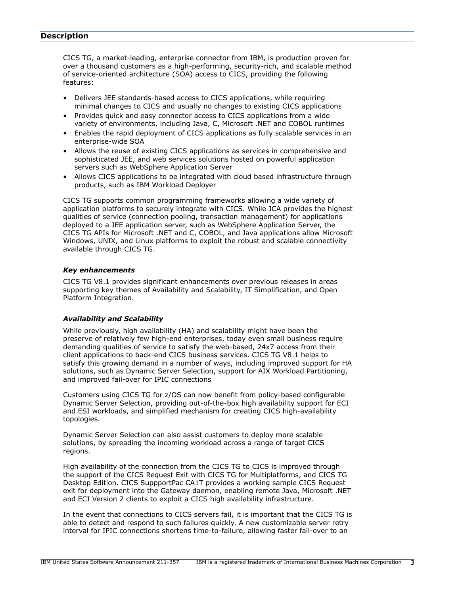## <span id="page-2-0"></span>**Description**

CICS TG, a market-leading, enterprise connector from IBM, is production proven for over a thousand customers as a high-performing, security-rich, and scalable method of service-oriented architecture (SOA) access to CICS, providing the following features:

- Delivers JEE standards-based access to CICS applications, while requiring minimal changes to CICS and usually no changes to existing CICS applications
- Provides quick and easy connector access to CICS applications from a wide variety of environments, including Java, C, Microsoft .NET and COBOL runtimes
- Enables the rapid deployment of CICS applications as fully scalable services in an enterprise-wide SOA
- Allows the reuse of existing CICS applications as services in comprehensive and sophisticated JEE, and web services solutions hosted on powerful application servers such as WebSphere Application Server
- Allows CICS applications to be integrated with cloud based infrastructure through products, such as IBM Workload Deployer

CICS TG supports common programming frameworks allowing a wide variety of application platforms to securely integrate with CICS. While JCA provides the highest qualities of service (connection pooling, transaction management) for applications deployed to a JEE application server, such as WebSphere Application Server, the CICS TG APIs for Microsoft .NET and C, COBOL, and Java applications allow Microsoft Windows, UNIX, and Linux platforms to exploit the robust and scalable connectivity available through CICS TG.

#### *Key enhancements*

CICS TG V8.1 provides significant enhancements over previous releases in areas supporting key themes of Availability and Scalability, IT Simplification, and Open Platform Integration.

#### *Availability and Scalability*

While previously, high availability (HA) and scalability might have been the preserve of relatively few high-end enterprises, today even small business require demanding qualities of service to satisfy the web-based, 24x7 access from their client applications to back-end CICS business services. CICS TG V8.1 helps to satisfy this growing demand in a number of ways, including improved support for HA solutions, such as Dynamic Server Selection, support for AIX Workload Partitioning, and improved fail-over for IPIC connections

Customers using CICS TG for z/OS can now benefit from policy-based configurable Dynamic Server Selection, providing out-of-the-box high availability support for ECI and ESI workloads, and simplified mechanism for creating CICS high-availability topologies.

Dynamic Server Selection can also assist customers to deploy more scalable solutions, by spreading the incoming workload across a range of target CICS regions.

High availability of the connection from the CICS TG to CICS is improved through the support of the CICS Request Exit with CICS TG for Multiplatforms, and CICS TG Desktop Edition. CICS SuppportPac CA1T provides a working sample CICS Request exit for deployment into the Gateway daemon, enabling remote Java, Microsoft .NET and ECI Version 2 clients to exploit a CICS high availability infrastructure.

In the event that connections to CICS servers fail, it is important that the CICS TG is able to detect and respond to such failures quickly. A new customizable server retry interval for IPIC connections shortens time-to-failure, allowing faster fail-over to an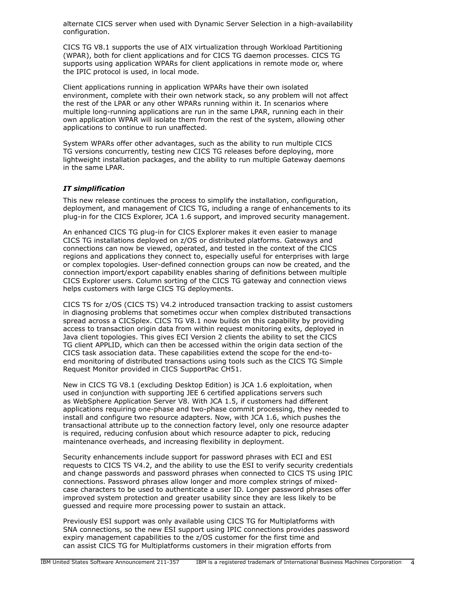alternate CICS server when used with Dynamic Server Selection in a high-availability configuration.

CICS TG V8.1 supports the use of AIX virtualization through Workload Partitioning (WPAR), both for client applications and for CICS TG daemon processes. CICS TG supports using application WPARs for client applications in remote mode or, where the IPIC protocol is used, in local mode.

Client applications running in application WPARs have their own isolated environment, complete with their own network stack, so any problem will not affect the rest of the LPAR or any other WPARs running within it. In scenarios where multiple long-running applications are run in the same LPAR, running each in their own application WPAR will isolate them from the rest of the system, allowing other applications to continue to run unaffected.

System WPARs offer other advantages, such as the ability to run multiple CICS TG versions concurrently, testing new CICS TG releases before deploying, more lightweight installation packages, and the ability to run multiple Gateway daemons in the same LPAR.

## *IT simplification*

This new release continues the process to simplify the installation, configuration, deployment, and management of CICS TG, including a range of enhancements to its plug-in for the CICS Explorer, JCA 1.6 support, and improved security management.

An enhanced CICS TG plug-in for CICS Explorer makes it even easier to manage CICS TG installations deployed on z/OS or distributed platforms. Gateways and connections can now be viewed, operated, and tested in the context of the CICS regions and applications they connect to, especially useful for enterprises with large or complex topologies. User-defined connection groups can now be created, and the connection import/export capability enables sharing of definitions between multiple CICS Explorer users. Column sorting of the CICS TG gateway and connection views helps customers with large CICS TG deployments.

CICS TS for z/OS (CICS TS) V4.2 introduced transaction tracking to assist customers in diagnosing problems that sometimes occur when complex distributed transactions spread across a CICSplex. CICS TG V8.1 now builds on this capability by providing access to transaction origin data from within request monitoring exits, deployed in Java client topologies. This gives ECI Version 2 clients the ability to set the CICS TG client APPLID, which can then be accessed within the origin data section of the CICS task association data. These capabilities extend the scope for the end-toend monitoring of distributed transactions using tools such as the CICS TG Simple Request Monitor provided in CICS SupportPac CH51.

New in CICS TG V8.1 (excluding Desktop Edition) is JCA 1.6 exploitation, when used in conjunction with supporting JEE 6 certified applications servers such as WebSphere Application Server V8. With JCA 1.5, if customers had different applications requiring one-phase and two-phase commit processing, they needed to install and configure two resource adapters. Now, with JCA 1.6, which pushes the transactional attribute up to the connection factory level, only one resource adapter is required, reducing confusion about which resource adapter to pick, reducing maintenance overheads, and increasing flexibility in deployment.

Security enhancements include support for password phrases with ECI and ESI requests to CICS TS V4.2, and the ability to use the ESI to verify security credentials and change passwords and password phrases when connected to CICS TS using IPIC connections. Password phrases allow longer and more complex strings of mixedcase characters to be used to authenticate a user ID. Longer password phrases offer improved system protection and greater usability since they are less likely to be guessed and require more processing power to sustain an attack.

Previously ESI support was only available using CICS TG for Multiplatforms with SNA connections, so the new ESI support using IPIC connections provides password expiry management capabilities to the z/OS customer for the first time and can assist CICS TG for Multiplatforms customers in their migration efforts from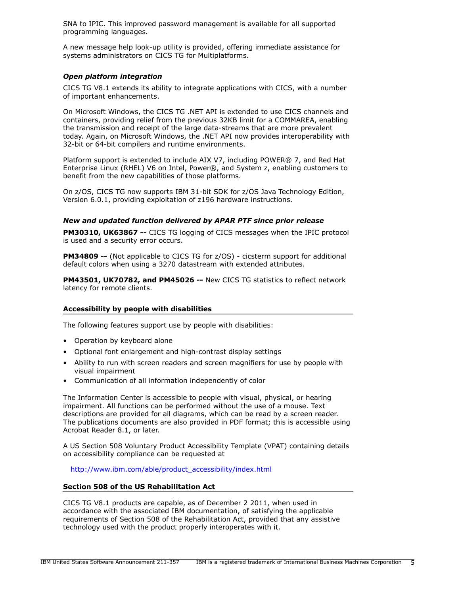SNA to IPIC. This improved password management is available for all supported programming languages.

A new message help look-up utility is provided, offering immediate assistance for systems administrators on CICS TG for Multiplatforms.

## *Open platform integration*

CICS TG V8.1 extends its ability to integrate applications with CICS, with a number of important enhancements.

On Microsoft Windows, the CICS TG .NET API is extended to use CICS channels and containers, providing relief from the previous 32KB limit for a COMMAREA, enabling the transmission and receipt of the large data-streams that are more prevalent today. Again, on Microsoft Windows, the .NET API now provides interoperability with 32-bit or 64-bit compilers and runtime environments.

Platform support is extended to include AIX V7, including POWER® 7, and Red Hat Enterprise Linux (RHEL) V6 on Intel, Power®, and System z, enabling customers to benefit from the new capabilities of those platforms.

On z/OS, CICS TG now supports IBM 31-bit SDK for z/OS Java Technology Edition, Version 6.0.1, providing exploitation of z196 hardware instructions.

## *New and updated function delivered by APAR PTF since prior release*

PM30310, UK63867 -- CICS TG logging of CICS messages when the IPIC protocol is used and a security error occurs.

PM34809 -- (Not applicable to CICS TG for z/OS) - cicsterm support for additional default colors when using a 3270 datastream with extended attributes.

PM43501, UK70782, and PM45026 -- New CICS TG statistics to reflect network latency for remote clients.

#### Accessibility by people with disabilities

The following features support use by people with disabilities:

- Operation by keyboard alone
- Optional font enlargement and high-contrast display settings
- Ability to run with screen readers and screen magnifiers for use by people with visual impairment
- Communication of all information independently of color

The Information Center is accessible to people with visual, physical, or hearing impairment. All functions can be performed without the use of a mouse. Text descriptions are provided for all diagrams, which can be read by a screen reader. The publications documents are also provided in PDF format; this is accessible using Acrobat Reader 8.1, or later.

A US Section 508 Voluntary Product Accessibility Template (VPAT) containing details on accessibility compliance can be requested at

[http://www.ibm.com/able/product\\_accessibility/index.html](http://www.ibm.com/able/product_accessibility/index.html)

#### Section 508 of the US Rehabilitation Act

CICS TG V8.1 products are capable, as of December 2 2011, when used in accordance with the associated IBM documentation, of satisfying the applicable requirements of Section 508 of the Rehabilitation Act, provided that any assistive technology used with the product properly interoperates with it.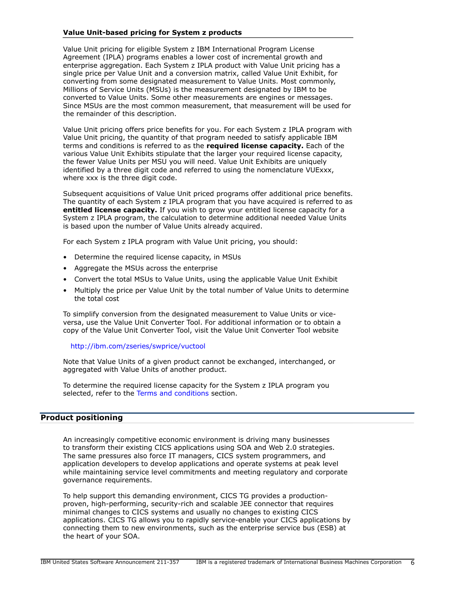## Value Unit-based pricing for System z products

Value Unit pricing for eligible System z IBM International Program License Agreement (IPLA) programs enables a lower cost of incremental growth and enterprise aggregation. Each System z IPLA product with Value Unit pricing has a single price per Value Unit and a conversion matrix, called Value Unit Exhibit, for converting from some designated measurement to Value Units. Most commonly, Millions of Service Units (MSUs) is the measurement designated by IBM to be converted to Value Units. Some other measurements are engines or messages. Since MSUs are the most common measurement, that measurement will be used for the remainder of this description.

Value Unit pricing offers price benefits for you. For each System z IPLA program with Value Unit pricing, the quantity of that program needed to satisfy applicable IBM terms and conditions is referred to as the **required license capacity.** Each of the various Value Unit Exhibits stipulate that the larger your required license capacity, the fewer Value Units per MSU you will need. Value Unit Exhibits are uniquely identified by a three digit code and referred to using the nomenclature VUExxx, where xxx is the three digit code.

Subsequent acquisitions of Value Unit priced programs offer additional price benefits. The quantity of each System z IPLA program that you have acquired is referred to as entitled license capacity. If you wish to grow your entitled license capacity for a System z IPLA program, the calculation to determine additional needed Value Units is based upon the number of Value Units already acquired.

For each System z IPLA program with Value Unit pricing, you should:

- Determine the required license capacity, in MSUs
- Aggregate the MSUs across the enterprise
- Convert the total MSUs to Value Units, using the applicable Value Unit Exhibit
- Multiply the price per Value Unit by the total number of Value Units to determine the total cost

To simplify conversion from the designated measurement to Value Units or viceversa, use the Value Unit Converter Tool. For additional information or to obtain a copy of the Value Unit Converter Tool, visit the Value Unit Converter Tool website

#### <http://ibm.com/zseries/swprice/vuctool>

Note that Value Units of a given product cannot be exchanged, interchanged, or aggregated with Value Units of another product.

To determine the required license capacity for the System z IPLA program you selected, refer to the [Terms and conditions](#page-19-0) section.

#### <span id="page-5-0"></span>Product positioning

An increasingly competitive economic environment is driving many businesses to transform their existing CICS applications using SOA and Web 2.0 strategies. The same pressures also force IT managers, CICS system programmers, and application developers to develop applications and operate systems at peak level while maintaining service level commitments and meeting regulatory and corporate governance requirements.

To help support this demanding environment, CICS TG provides a productionproven, high-performing, security-rich and scalable JEE connector that requires minimal changes to CICS systems and usually no changes to existing CICS applications. CICS TG allows you to rapidly service-enable your CICS applications by connecting them to new environments, such as the enterprise service bus (ESB) at the heart of your SOA.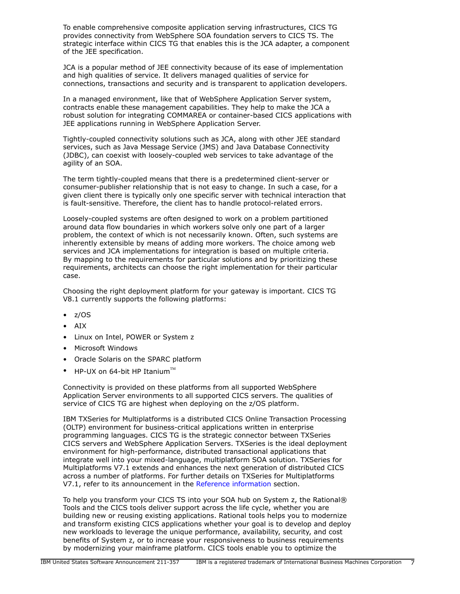To enable comprehensive composite application serving infrastructures, CICS TG provides connectivity from WebSphere SOA foundation servers to CICS TS. The strategic interface within CICS TG that enables this is the JCA adapter, a component of the JEE specification.

JCA is a popular method of JEE connectivity because of its ease of implementation and high qualities of service. It delivers managed qualities of service for connections, transactions and security and is transparent to application developers.

In a managed environment, like that of WebSphere Application Server system, contracts enable these management capabilities. They help to make the JCA a robust solution for integrating COMMAREA or container-based CICS applications with JEE applications running in WebSphere Application Server.

Tightly-coupled connectivity solutions such as JCA, along with other JEE standard services, such as Java Message Service (JMS) and Java Database Connectivity (JDBC), can coexist with loosely-coupled web services to take advantage of the agility of an SOA.

The term tightly-coupled means that there is a predetermined client-server or consumer-publisher relationship that is not easy to change. In such a case, for a given client there is typically only one specific server with technical interaction that is fault-sensitive. Therefore, the client has to handle protocol-related errors.

Loosely-coupled systems are often designed to work on a problem partitioned around data flow boundaries in which workers solve only one part of a larger problem, the context of which is not necessarily known. Often, such systems are inherently extensible by means of adding more workers. The choice among web services and JCA implementations for integration is based on multiple criteria. By mapping to the requirements for particular solutions and by prioritizing these requirements, architects can choose the right implementation for their particular case.

Choosing the right deployment platform for your gateway is important. CICS TG V8.1 currently supports the following platforms:

- $\bullet$  z/OS
- AIX
- Linux on Intel, POWER or System z
- Microsoft Windows
- Oracle Solaris on the SPARC platform
- HP-UX on 64-bit HP Itanium $\mathbb{M}$

Connectivity is provided on these platforms from all supported WebSphere Application Server environments to all supported CICS servers. The qualities of service of CICS TG are highest when deploying on the z/OS platform.

IBM TXSeries for Multiplatforms is a distributed CICS Online Transaction Processing (OLTP) environment for business-critical applications written in enterprise programming languages. CICS TG is the strategic connector between TXSeries CICS servers and WebSphere Application Servers. TXSeries is the ideal deployment environment for high-performance, distributed transactional applications that integrate well into your mixed-language, multiplatform SOA solution. TXSeries for Multiplatforms V7.1 extends and enhances the next generation of distributed CICS across a number of platforms. For further details on TXSeries for Multiplatforms V7.1, refer to its announcement in the [Reference information](#page-7-1) section.

To help you transform your CICS TS into your SOA hub on System z, the Rational® Tools and the CICS tools deliver support across the life cycle, whether you are building new or reusing existing applications. Rational tools helps you to modernize and transform existing CICS applications whether your goal is to develop and deploy new workloads to leverage the unique performance, availability, security, and cost benefits of System z, or to increase your responsiveness to business requirements by modernizing your mainframe platform. CICS tools enable you to optimize the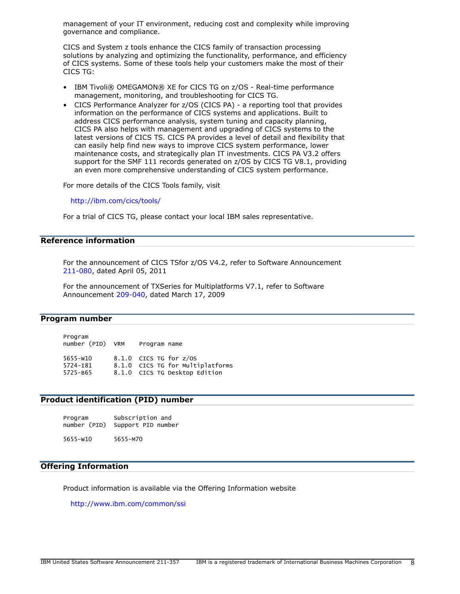management of your IT environment, reducing cost and complexity while improving governance and compliance.

CICS and System z tools enhance the CICS family of transaction processing solutions by analyzing and optimizing the functionality, performance, and efficiency of CICS systems. Some of these tools help your customers make the most of their CICS TG:

- IBM Tivoli® OMEGAMON® XE for CICS TG on z/OS Real-time performance management, monitoring, and troubleshooting for CICS TG.
- CICS Performance Analyzer for z/OS (CICS PA) a reporting tool that provides information on the performance of CICS systems and applications. Built to address CICS performance analysis, system tuning and capacity planning, CICS PA also helps with management and upgrading of CICS systems to the latest versions of CICS TS. CICS PA provides a level of detail and flexibility that can easily help find new ways to improve CICS system performance, lower maintenance costs, and strategically plan IT investments. CICS PA V3.2 offers support for the SMF 111 records generated on z/OS by CICS TG V8.1, providing an even more comprehensive understanding of CICS system performance.

For more details of the CICS Tools family, visit

<http://ibm.com/cics/tools/>

For a trial of CICS TG, please contact your local IBM sales representative.

## <span id="page-7-1"></span>Reference information

For the announcement of CICS TSfor z/OS V4.2, refer to Software Announcement [211-080](http://www.ibm.com/common/ssi/cgi-bin/ssialias?infotype=an&subtype=ca&appname=gpateam&supplier=897&letternum=ENUS211-080), dated April 05, 2011

For the announcement of TXSeries for Multiplatforms V7.1, refer to Software Announcement [209-040](http://www.ibm.com/common/ssi/cgi-bin/ssialias?infotype=an&subtype=ca&appname=gpateam&supplier=897&letternum=ENUS209-040), dated March 17, 2009

#### <span id="page-7-0"></span>Program number

Program number (PID) VRM Program name 5655-W10 8.1.0 CICS TG for z/OS 5724-I81 8.1.0 CICS TG for Multiplatforms 5725-B65 8.1.0 CICS TG Desktop Edition

#### Product identification (PID) number

| Program | Subscription and                |
|---------|---------------------------------|
|         | number (PID) Support PID number |
|         |                                 |

5655-W10 5655-M70

## Offering Information

Product information is available via the Offering Information website

<http://www.ibm.com/common/ssi>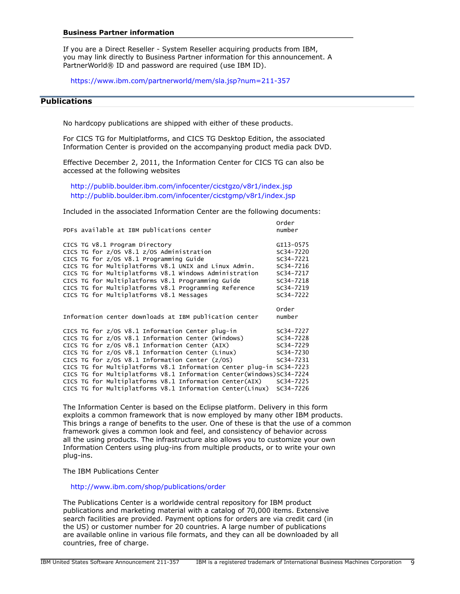#### Business Partner information

If you are a Direct Reseller - System Reseller acquiring products from IBM, you may link directly to Business Partner information for this announcement. A PartnerWorld® ID and password are required (use IBM ID).

<https://www.ibm.com/partnerworld/mem/sla.jsp?num=211-357>

## <span id="page-8-0"></span>**Publications**

No hardcopy publications are shipped with either of these products.

For CICS TG for Multiplatforms, and CICS TG Desktop Edition, the associated Information Center is provided on the accompanying product media pack DVD.

Effective December 2, 2011, the Information Center for CICS TG can also be accessed at the following websites

<http://publib.boulder.ibm.com/infocenter/cicstgzo/v8r1/index.jsp> <http://publib.boulder.ibm.com/infocenter/cicstgmp/v8r1/index.jsp>

Included in the associated Information Center are the following documents:

| PDFs available at IBM publications center                            | <b>Order</b><br>number |
|----------------------------------------------------------------------|------------------------|
| CICS TG V8.1 Program Directory                                       | GI13-0575              |
| CICS TG for z/0S V8.1 z/0S Administration                            | SC34-7220              |
| CICS TG for z/OS V8.1 Programming Guide                              | SC34-7221              |
| CICS TG for Multiplatforms V8.1 UNIX and Linux Admin.                | SC34-7216              |
| CICS TG for Multiplatforms V8.1 Windows Administration               | SC34-7217              |
| CICS TG for Multiplatforms V8.1 Programming Guide                    | $SC34 - 7218$          |
| CICS TG for Multiplatforms V8.1 Programming Reference                | SC34-7219              |
| CICS TG for Multiplatforms V8.1 Messages                             | SC34-7222              |
|                                                                      |                        |
|                                                                      | order                  |
| Information center downloads at IBM publication center               | number                 |
|                                                                      |                        |
| CICS TG for z/OS V8.1 Information Center plug-in                     | SC34-7227              |
| CICS TG for z/0S V8.1 Information Center (Windows)                   | SC34-7228              |
| CICS TG for z/OS V8.1 Information Center (AIX)                       | SC34-7229              |
| CICS TG for z/OS V8.1 Information Center (Linux)                     | SC34-7230              |
| CICS TG for $z/0S$ V8.1 Information Center $(z/0S)$                  | SC34-7231              |
| CICS TG for Multiplatforms V8.1 Information Center plug-in SC34-7223 |                        |
| CICS TG for Multiplatforms V8.1 Information Center(Windows)SC34-7224 |                        |
| CICS TG for Multiplatforms V8.1 Information Center(AIX)              | SC34-7225              |
| CICS TG for Multiplatforms V8.1 Information Center(Linux)            | SC34-7226              |

The Information Center is based on the Eclipse platform. Delivery in this form exploits a common framework that is now employed by many other IBM products. This brings a range of benefits to the user. One of these is that the use of a common framework gives a common look and feel, and consistency of behavior across all the using products. The infrastructure also allows you to customize your own Information Centers using plug-ins from multiple products, or to write your own plug-ins.

The IBM Publications Center

<http://www.ibm.com/shop/publications/order>

The Publications Center is a worldwide central repository for IBM product publications and marketing material with a catalog of 70,000 items. Extensive search facilities are provided. Payment options for orders are via credit card (in the US) or customer number for 20 countries. A large number of publications are available online in various file formats, and they can all be downloaded by all countries, free of charge.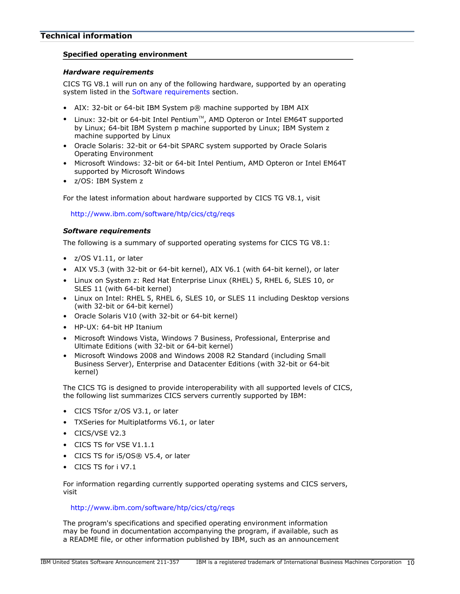## <span id="page-9-0"></span>Specified operating environment

## *Hardware requirements*

CICS TG V8.1 will run on any of the following hardware, supported by an operating system listed in the [Software requirements](#page-9-1) section.

- AIX: 32-bit or 64-bit IBM System p® machine supported by IBM AIX
- Linux: 32-bit or 64-bit Intel Pentium<sup>™</sup>, AMD Opteron or Intel EM64T supported by Linux; 64-bit IBM System p machine supported by Linux; IBM System z machine supported by Linux
- Oracle Solaris: 32-bit or 64-bit SPARC system supported by Oracle Solaris Operating Environment
- Microsoft Windows: 32-bit or 64-bit Intel Pentium, AMD Opteron or Intel EM64T supported by Microsoft Windows
- z/OS: IBM System z

For the latest information about hardware supported by CICS TG V8.1, visit

<http://www.ibm.com/software/htp/cics/ctg/reqs>

## <span id="page-9-1"></span>*Software requirements*

The following is a summary of supported operating systems for CICS TG V8.1:

- z/OS V1.11, or later
- AIX V5.3 (with 32-bit or 64-bit kernel), AIX V6.1 (with 64-bit kernel), or later
- Linux on System z: Red Hat Enterprise Linux (RHEL) 5, RHEL 6, SLES 10, or SLES 11 (with 64-bit kernel)
- Linux on Intel: RHEL 5, RHEL 6, SLES 10, or SLES 11 including Desktop versions (with 32-bit or 64-bit kernel)
- Oracle Solaris V10 (with 32-bit or 64-bit kernel)
- HP-UX: 64-bit HP Itanium
- Microsoft Windows Vista, Windows 7 Business, Professional, Enterprise and Ultimate Editions (with 32-bit or 64-bit kernel)
- Microsoft Windows 2008 and Windows 2008 R2 Standard (including Small Business Server), Enterprise and Datacenter Editions (with 32-bit or 64-bit kernel)

The CICS TG is designed to provide interoperability with all supported levels of CICS, the following list summarizes CICS servers currently supported by IBM:

- CICS TSfor z/OS V3.1, or later
- TXSeries for Multiplatforms V6.1, or later
- CICS/VSE V2.3
- CICS TS for VSE V1.1.1
- CICS TS for i5/OS® V5.4, or later
- CICS TS for i V7.1

For information regarding currently supported operating systems and CICS servers, visit

## <http://www.ibm.com/software/htp/cics/ctg/reqs>

The program's specifications and specified operating environment information may be found in documentation accompanying the program, if available, such as a README file, or other information published by IBM, such as an announcement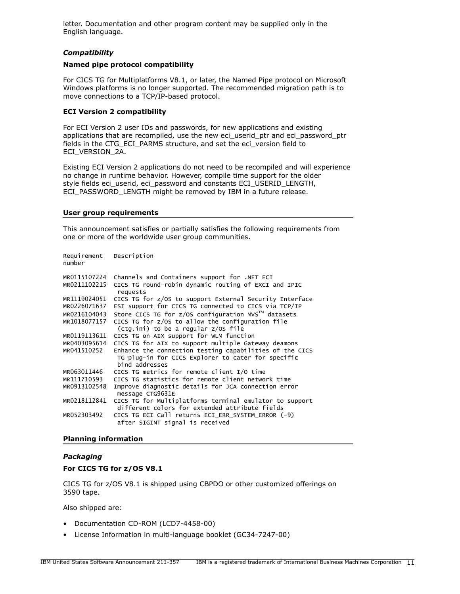letter. Documentation and other program content may be supplied only in the English language.

## *Compatibility*

#### Named pipe protocol compatibility

For CICS TG for Multiplatforms V8.1, or later, the Named Pipe protocol on Microsoft Windows platforms is no longer supported. The recommended migration path is to move connections to a TCP/IP-based protocol.

## ECI Version 2 compatibility

For ECI Version 2 user IDs and passwords, for new applications and existing applications that are recompiled, use the new eci\_userid\_ptr and eci\_password\_ptr fields in the CTG\_ECI\_PARMS structure, and set the eci\_version field to ECI\_VERSION\_2A.

Existing ECI Version 2 applications do not need to be recompiled and will experience no change in runtime behavior. However, compile time support for the older style fields eci\_userid, eci\_password and constants ECI\_USERID\_LENGTH, ECI\_PASSWORD\_LENGTH might be removed by IBM in a future release.

#### User group requirements

This announcement satisfies or partially satisfies the following requirements from one or more of the worldwide user group communities.

| Requirement Description<br>number |                                                                                                           |
|-----------------------------------|-----------------------------------------------------------------------------------------------------------|
| MR0115107224                      | Channels and Containers support for .NET ECI                                                              |
| MR0211102215                      | CICS TG round-robin dynamic routing of EXCI and IPIC<br>requests                                          |
| MR1119024051                      | CICS TG for z/OS to support External Security Interface                                                   |
| MR0226071637                      | ESI support for CICS TG connected to CICS via TCP/IP                                                      |
| MR0216104043                      | Store CICS TG for z/OS configuration MVS™ datasets                                                        |
| MR1018077157                      | CICS TG for z/OS to allow the configuration file                                                          |
|                                   | (ctg.ini) to be a regular z/OS file                                                                       |
| MR0119113611                      | CICS TG on AIX support for WLM function                                                                   |
| MR0403095614                      | CICS TG for AIX to support multiple Gateway deamons                                                       |
| MR041510252                       | Enhance the connection testing capabilities of the CICS                                                   |
|                                   | TG plug-in for CICS Explorer to cater for specific                                                        |
|                                   | bind addresses                                                                                            |
| MR063011446                       | CICS TG metrics for remote client I/O time                                                                |
| MR111710593                       | CICS TG statistics for remote client network time                                                         |
| MR0913102548                      | Improve diagnostic details for JCA connection error<br>message CTG9631E                                   |
| MR0218112841                      | CICS TG for Multiplatforms terminal emulator to support<br>different colors for extended attribute fields |
| MR052303492                       | CICS TG ECI Call returns ECI_ERR_SYSTEM_ERROR (-9)<br>after SIGINT signal is received                     |

#### Planning information

## *Packaging*

#### For CICS TG for z/OS V8.1

CICS TG for z/OS V8.1 is shipped using CBPDO or other customized offerings on 3590 tape.

Also shipped are:

- Documentation CD-ROM (LCD7-4458-00)
- License Information in multi-language booklet (GC34-7247-00)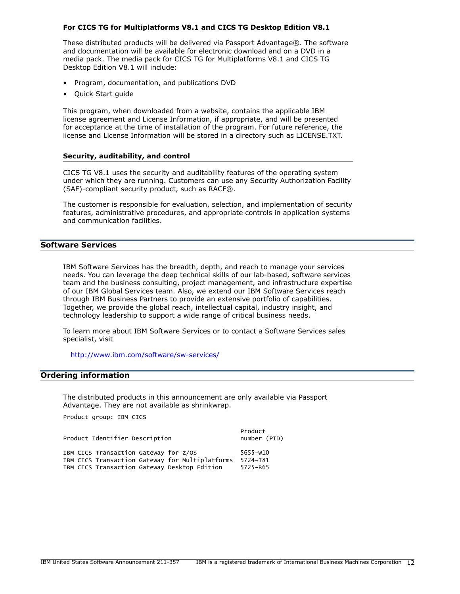#### For CICS TG for Multiplatforms V8.1 and CICS TG Desktop Edition V8.1

These distributed products will be delivered via Passport Advantage®. The software and documentation will be available for electronic download and on a DVD in a media pack. The media pack for CICS TG for Multiplatforms V8.1 and CICS TG Desktop Edition V8.1 will include:

- Program, documentation, and publications DVD
- Quick Start guide

This program, when downloaded from a website, contains the applicable IBM license agreement and License Information, if appropriate, and will be presented for acceptance at the time of installation of the program. For future reference, the license and License Information will be stored in a directory such as LICENSE.TXT.

#### Security, auditability, and control

CICS TG V8.1 uses the security and auditability features of the operating system under which they are running. Customers can use any Security Authorization Facility (SAF)-compliant security product, such as RACF®.

The customer is responsible for evaluation, selection, and implementation of security features, administrative procedures, and appropriate controls in application systems and communication facilities.

## Software Services

IBM Software Services has the breadth, depth, and reach to manage your services needs. You can leverage the deep technical skills of our lab-based, software services team and the business consulting, project management, and infrastructure expertise of our IBM Global Services team. Also, we extend our IBM Software Services reach through IBM Business Partners to provide an extensive portfolio of capabilities. Together, we provide the global reach, intellectual capital, industry insight, and technology leadership to support a wide range of critical business needs.

To learn more about IBM Software Services or to contact a Software Services sales specialist, visit

<http://www.ibm.com/software/sw-services/>

## <span id="page-11-0"></span>Ordering information

The distributed products in this announcement are only available via Passport Advantage. They are not available as shrinkwrap.

Product group: IBM CICS

Product Identifier Description humber (PID)

**Product** the contract of the contract of the contract of the contract of the contract of the contract of the contract of the contract of the contract of the contract of the contract of the contract of the contract of the

|  | IBM CICS Transaction Gateway for z/OS |                                                 | 5655-w10 |
|--|---------------------------------------|-------------------------------------------------|----------|
|  |                                       | IBM CICS Transaction Gateway for Multiplatforms | 5724-181 |
|  |                                       | IBM CICS Transaction Gateway Desktop Edition    | 5725-B65 |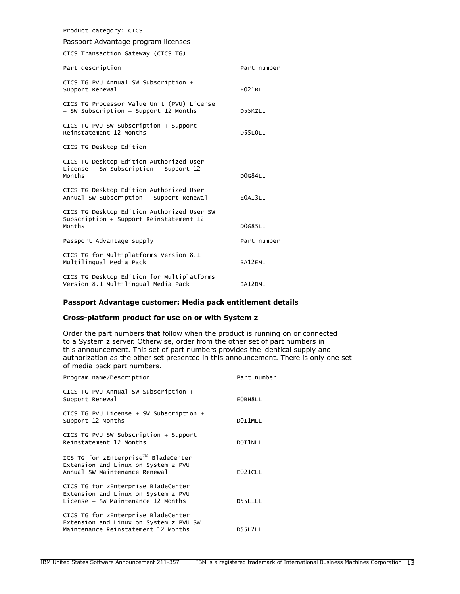| Product category: CICS                                                                          |                |  |  |
|-------------------------------------------------------------------------------------------------|----------------|--|--|
| Passport Advantage program licenses                                                             |                |  |  |
| CICS Transaction Gateway (CICS TG)                                                              |                |  |  |
| Part description                                                                                | Part number    |  |  |
| CICS TG PVU Annual SW Subscription +<br>Support Renewal                                         | E021BLL        |  |  |
| CICS TG Processor Value Unit (PVU) License<br>+ SW Subscription + Support 12 Months             | D55KZLL        |  |  |
| CICS TG PVU SW Subscription + Support<br>Reinstatement 12 Months                                | D55LOLL        |  |  |
| CICS TG Desktop Edition                                                                         |                |  |  |
| CICS TG Desktop Edition Authorized User<br>License + SW Subscription + Support $12$<br>Months   | <b>DOG84LL</b> |  |  |
| CICS TG Desktop Edition Authorized User<br>Annual SW Subscription + Support Renewal             | E0AI3LL        |  |  |
| CICS TG Desktop Edition Authorized User SW<br>Subscription + Support Reinstatement 12<br>Months | <b>DOG85LL</b> |  |  |
| Passport Advantage supply                                                                       | Part number    |  |  |
| CICS TG for Multiplatforms Version 8.1<br>Multilingual Media Pack                               | BA12EML        |  |  |
| CICS TG Desktop Edition for Multiplatforms<br>Version 8.1 Multilingual Media Pack               | BA12DML        |  |  |

## Passport Advantage customer: Media pack entitlement details

## Cross-platform product for use on or with System z

Order the part numbers that follow when the product is running on or connected to a System z server. Otherwise, order from the other set of part numbers in this announcement. This set of part numbers provides the identical supply and authorization as the other set presented in this announcement. There is only one set of media pack part numbers.

| Program name/Description                                                                                             | Part number    |
|----------------------------------------------------------------------------------------------------------------------|----------------|
| CICS TG PVU Annual SW Subscription +<br>Support Renewal                                                              | EOBH8LL        |
| CICS TG PVU License $+$ SW Subscription $+$<br>Support 12 Months                                                     | DOI1MLL        |
| CICS TG PVU SW Subscription + Support<br>Reinstatement 12 Months                                                     | DOI1NLL        |
| ICS TG for zEnterprise™ BladeCenter<br>Extension and Linux on System z PVU<br>Annual SW Maintenance Renewal          | E021CLL        |
| CICS TG for zEnterprise BladeCenter<br>Extension and Linux on System z PVU<br>License + SW Maintenance 12 Months     | D55L1LL        |
| CICS TG for zEnterprise BladeCenter<br>Extension and Linux on System z PVU SW<br>Maintenance Reinstatement 12 Months | <b>D55L2LL</b> |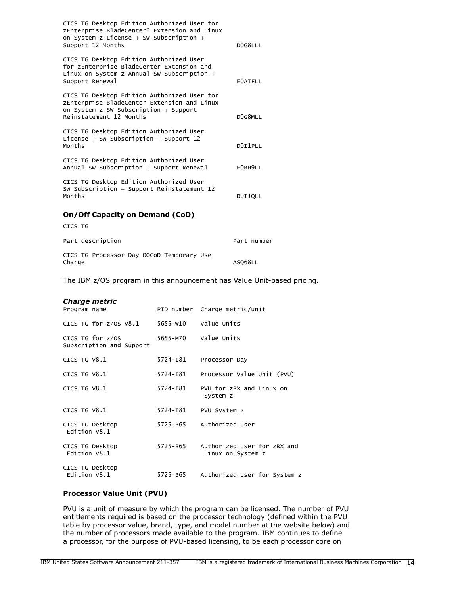| CICS TG Desktop Edition Authorized User for<br>zEnterprise BladeCenter® Extension and Linux<br>on System z License + SW Subscription +<br>Support 12 Months    | DOG8LLL        |
|----------------------------------------------------------------------------------------------------------------------------------------------------------------|----------------|
|                                                                                                                                                                |                |
| CICS TG Desktop Edition Authorized User<br>for zEnterprise BladeCenter Extension and<br>Linux on System z Annual SW Subscription +<br>Support Renewal          | <b>EOAIFLL</b> |
| CICS TG Desktop Edition Authorized User for<br>zEnterprise BladeCenter Extension and Linux<br>on System z SW Subscription + Support<br>Reinstatement 12 Months | DOG8MLL        |
| CICS TG Desktop Edition Authorized User                                                                                                                        |                |
| License + SW Subscription + Support $12$<br>Months                                                                                                             | DOI1PLL        |
| CICS TG Desktop Edition Authorized User<br>Annual SW Subscription + Support Renewal                                                                            | EOBH9LL        |
| CICS TG Desktop Edition Authorized User<br>SW Subscription + Support Reinstatement 12<br>Months                                                                | DOI1QLL        |
| On/Off Capacity on Demand (CoD)                                                                                                                                |                |
| CICS TG                                                                                                                                                        |                |
| Part description                                                                                                                                               | Part number    |
| CICS TG Processor Day OOCoD Temporary Use<br>Charge                                                                                                            | ASQ68LL        |

The IBM z/OS program in this announcement has Value Unit-based pricing.

#### *Charge metric*

| Program name                                 |          | PID number Charge metric/unit                    |
|----------------------------------------------|----------|--------------------------------------------------|
| CICS TG for z/0S V8.1                        |          | 5655-W10 Value Units                             |
| CICS TG for z/0S<br>Subscription and Support | 5655-M70 | Value Units                                      |
| CICS TG V8.1                                 | 5724-181 | Processor Day                                    |
| CICS TG $V8.1$                               | 5724-181 | Processor Value Unit (PVU)                       |
| CICS TG $V8.1$                               | 5724-181 | PVU for zBX and Linux on<br>System z             |
| CICS TG V8.1                                 | 5724-181 | PVU System z                                     |
| CICS TG Desktop<br>Edition $V8.1$            | 5725-B65 | Authorized User                                  |
| CICS TG Desktop<br>Edition V8.1              | 5725-B65 | Authorized User for zBX and<br>Linux on System z |
| CICS TG Desktop<br>Edition V8.1              | 5725-B65 | Authorized User for System z                     |

#### Processor Value Unit (PVU)

PVU is a unit of measure by which the program can be licensed. The number of PVU entitlements required is based on the processor technology (defined within the PVU table by processor value, brand, type, and model number at the website below) and the number of processors made available to the program. IBM continues to define a processor, for the purpose of PVU-based licensing, to be each processor core on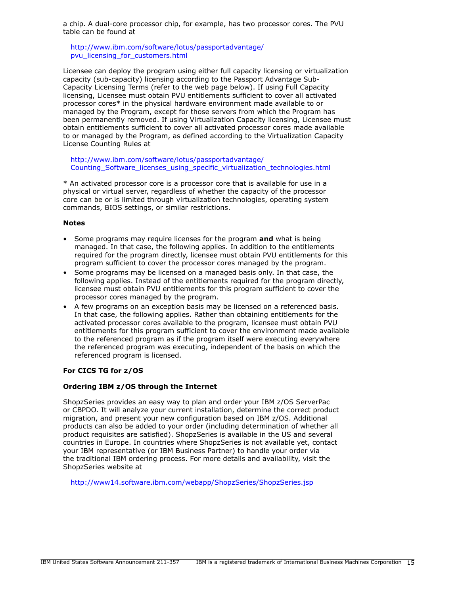a chip. A dual-core processor chip, for example, has two processor cores. The PVU table can be found at

[http://www.ibm.com/software/lotus/passportadvantage/](http://www.ibm.com/software/lotus/passportadvantage/pvu_licensing_for_customers.html) [pvu\\_licensing\\_for\\_customers.html](http://www.ibm.com/software/lotus/passportadvantage/pvu_licensing_for_customers.html)

Licensee can deploy the program using either full capacity licensing or virtualization capacity (sub-capacity) licensing according to the Passport Advantage Sub-Capacity Licensing Terms (refer to the web page below). If using Full Capacity licensing, Licensee must obtain PVU entitlements sufficient to cover all activated processor cores\* in the physical hardware environment made available to or managed by the Program, except for those servers from which the Program has been permanently removed. If using Virtualization Capacity licensing, Licensee must obtain entitlements sufficient to cover all activated processor cores made available to or managed by the Program, as defined according to the Virtualization Capacity License Counting Rules at

[http://www.ibm.com/software/lotus/passportadvantage/](http://www.ibm.com/software/lotus/passportadvantage/Counting_Software_licenses_using_specific_virtualization_technologies.html) [Counting\\_Software\\_licenses\\_using\\_specific\\_virtualization\\_technologies.html](http://www.ibm.com/software/lotus/passportadvantage/Counting_Software_licenses_using_specific_virtualization_technologies.html)

\* An activated processor core is a processor core that is available for use in a physical or virtual server, regardless of whether the capacity of the processor core can be or is limited through virtualization technologies, operating system commands, BIOS settings, or similar restrictions.

## Notes

- Some programs may require licenses for the program and what is being managed. In that case, the following applies. In addition to the entitlements required for the program directly, licensee must obtain PVU entitlements for this program sufficient to cover the processor cores managed by the program.
- Some programs may be licensed on a managed basis only. In that case, the following applies. Instead of the entitlements required for the program directly, licensee must obtain PVU entitlements for this program sufficient to cover the processor cores managed by the program.
- A few programs on an exception basis may be licensed on a referenced basis. In that case, the following applies. Rather than obtaining entitlements for the activated processor cores available to the program, licensee must obtain PVU entitlements for this program sufficient to cover the environment made available to the referenced program as if the program itself were executing everywhere the referenced program was executing, independent of the basis on which the referenced program is licensed.

## For CICS TG for z/OS

## Ordering IBM z/OS through the Internet

ShopzSeries provides an easy way to plan and order your IBM z/OS ServerPac or CBPDO. It will analyze your current installation, determine the correct product migration, and present your new configuration based on IBM z/OS. Additional products can also be added to your order (including determination of whether all product requisites are satisfied). ShopzSeries is available in the US and several countries in Europe. In countries where ShopzSeries is not available yet, contact your IBM representative (or IBM Business Partner) to handle your order via the traditional IBM ordering process. For more details and availability, visit the ShopzSeries website at

<http://www14.software.ibm.com/webapp/ShopzSeries/ShopzSeries.jsp>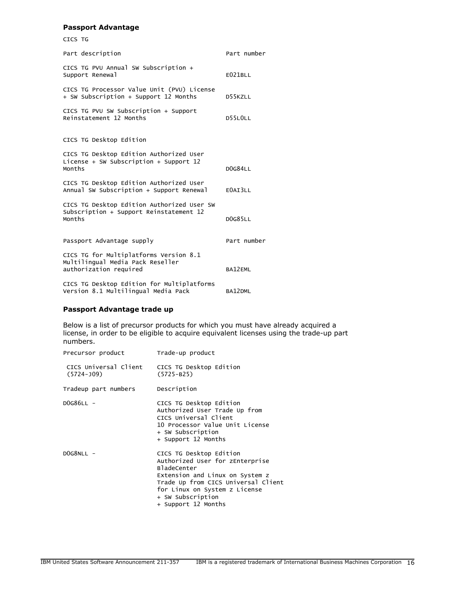#### Passport Advantage

| CICS TG                                                                                              |                |
|------------------------------------------------------------------------------------------------------|----------------|
| Part description                                                                                     | Part number    |
| CICS TG PVU Annual SW Subscription +<br>Support Renewal                                              | E021BLL        |
| CICS TG Processor Value Unit (PVU) License<br>+ SW Subscription + Support 12 Months                  | <b>D55K7LL</b> |
| CICS TG PVU SW Subscription + Support<br>Reinstatement 12 Months                                     | D55LOLL        |
| CICS TG Desktop Edition                                                                              |                |
| CICS TG Desktop Edition Authorized User<br>License + SW Subscription + Support $12$<br>Months        | <b>DOG84LL</b> |
| CICS TG Desktop Edition Authorized User<br>Annual SW Subscription + Support Renewal                  | E0AI3LL        |
| CICS TG Desktop Edition Authorized User SW<br>Subscription + Support Reinstatement 12<br>Months      | <b>DOG85LL</b> |
| Passport Advantage supply                                                                            | Part number    |
| CICS TG for Multiplatforms Version 8.1<br>Multilingual Media Pack Reseller<br>authorization required | BA12EML        |
| CICS TG Desktop Edition for Multiplatforms<br>Version 8.1 Multilingual Media Pack                    | BA12DML        |

## Passport Advantage trade up

Below is a list of precursor products for which you must have already acquired a license, in order to be eligible to acquire equivalent licenses using the trade-up part numbers.

| Precursor product                       | Trade-up product                                                                                                                                                                                                                        |
|-----------------------------------------|-----------------------------------------------------------------------------------------------------------------------------------------------------------------------------------------------------------------------------------------|
| CICS Universal Client<br>$(5724 - 109)$ | CICS TG Desktop Edition<br>$(5725 - B25)$                                                                                                                                                                                               |
| Tradeup part numbers                    | Description                                                                                                                                                                                                                             |
| $DOG86LL$ -                             | CICS TG Desktop Edition<br>Authorized User Trade Up from<br>CICS Universal Client<br>10 Processor Value Unit License<br>+ SW Subscription<br>+ Support 12 Months                                                                        |
| $DOG8NLL$ -                             | CICS TG Desktop Edition<br>Authorized User for zEnterprise<br><b>BladeCenter</b><br>Extension and Linux on System z<br>Trade Up from CICS Universal Client<br>for Linux on System z License<br>+ SW Subscription<br>+ Support 12 Months |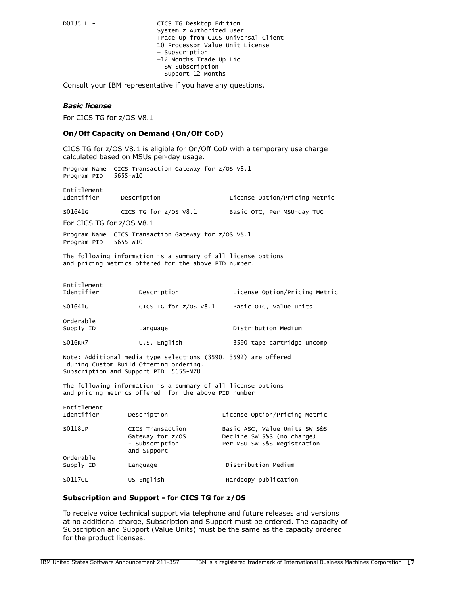D0I35LL - CICS TG Desktop Edition System z Authorized User Trade Up from CICS Universal Client 10 Processor Value Unit License + Supscription +12 Months Trade Up Lic + SW Subscription + Support 12 Months

Consult your IBM representative if you have any questions.

#### *Basic license*

For CICS TG for z/OS V8.1

#### On/Off Capacity on Demand (On/Off CoD)

CICS TG for z/OS V8.1 is eligible for On/Off CoD with a temporary use charge calculated based on MSUs per-day usage.

Program Name CICS Transaction Gateway for z/OS V8.1 Program PID 5655-W10

Entitlement Description **Description** License Option/Pricing Metric S01641G CICS TG for z/OS V8.1 Basic OTC, Per MSU-day TUC

For CICS TG for z/OS V8.1

Program Name CICS Transaction Gateway for z/OS V8.1 Program PID 5655-W10

The following information is a summary of all license options and pricing metrics offered for the above PID number.

| Entitlement<br>Identifier | Description             | License Option/Pricing Metric |
|---------------------------|-------------------------|-------------------------------|
| S01641G                   | CICS TG for $z/0S$ V8.1 | Basic OTC, Value units        |
| Orderable<br>Supply ID    | Language                | Distribution Medium           |
| S016KR7                   | U.S. English            | 3590 tape cartridge uncomp    |
|                           |                         |                               |

Note: Additional media type selections (3590, 3592) are offered during Custom Build Offering ordering. Subscription and Support PID 5655-M70

The following information is a summary of all license options and pricing metrics offered for the above PID number

| Entitlement<br>Identifier | Description                                                           | License Option/Pricing Metric                                                              |
|---------------------------|-----------------------------------------------------------------------|--------------------------------------------------------------------------------------------|
| S0118LP<br>Orderable      | CICS Transaction<br>Gateway for z/OS<br>- Subscription<br>and Support | Basic ASC, Value Units SW S&S<br>Decline SW S&S (no charge)<br>Per MSU SW S&S Registration |
| Supply ID                 | Language                                                              | Distribution Medium                                                                        |
| S0117GL                   | US English                                                            | Hardcopy publication                                                                       |

#### Subscription and Support - for CICS TG for z/OS

To receive voice technical support via telephone and future releases and versions at no additional charge, Subscription and Support must be ordered. The capacity of Subscription and Support (Value Units) must be the same as the capacity ordered for the product licenses.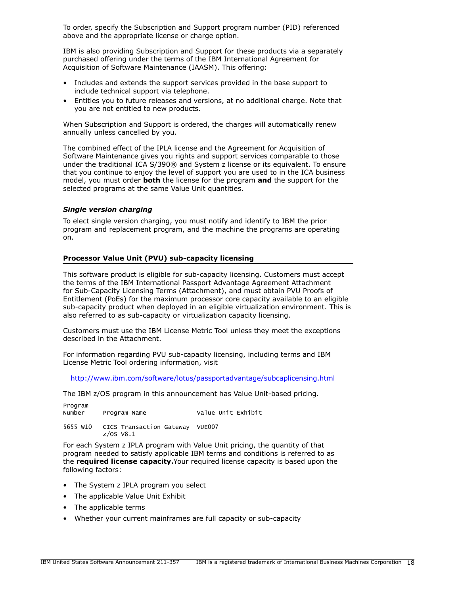To order, specify the Subscription and Support program number (PID) referenced above and the appropriate license or charge option.

IBM is also providing Subscription and Support for these products via a separately purchased offering under the terms of the IBM International Agreement for Acquisition of Software Maintenance (IAASM). This offering:

- Includes and extends the support services provided in the base support to include technical support via telephone.
- Entitles you to future releases and versions, at no additional charge. Note that you are not entitled to new products.

When Subscription and Support is ordered, the charges will automatically renew annually unless cancelled by you.

The combined effect of the IPLA license and the Agreement for Acquisition of Software Maintenance gives you rights and support services comparable to those under the traditional ICA S/390® and System z license or its equivalent. To ensure that you continue to enjoy the level of support you are used to in the ICA business model, you must order **both** the license for the program **and** the support for the selected programs at the same Value Unit quantities.

## *Single version charging*

To elect single version charging, you must notify and identify to IBM the prior program and replacement program, and the machine the programs are operating on.

#### Processor Value Unit (PVU) sub-capacity licensing

This software product is eligible for sub-capacity licensing. Customers must accept the terms of the IBM International Passport Advantage Agreement Attachment for Sub-Capacity Licensing Terms (Attachment), and must obtain PVU Proofs of Entitlement (PoEs) for the maximum processor core capacity available to an eligible sub-capacity product when deployed in an eligible virtualization environment. This is also referred to as sub-capacity or virtualization capacity licensing.

Customers must use the IBM License Metric Tool unless they meet the exceptions described in the Attachment.

For information regarding PVU sub-capacity licensing, including terms and IBM License Metric Tool ordering information, visit

<http://www.ibm.com/software/lotus/passportadvantage/subcaplicensing.html>

The IBM z/OS program in this announcement has Value Unit-based pricing.

Program Program Name Value Unit Exhibit

5655-W10 CICS Transaction Gateway VUE007 z/OS V8.1

For each System z IPLA program with Value Unit pricing, the quantity of that program needed to satisfy applicable IBM terms and conditions is referred to as the required license capacity. Your required license capacity is based upon the following factors:

- The System z IPLA program you select
- The applicable Value Unit Exhibit
- The applicable terms
- Whether your current mainframes are full capacity or sub-capacity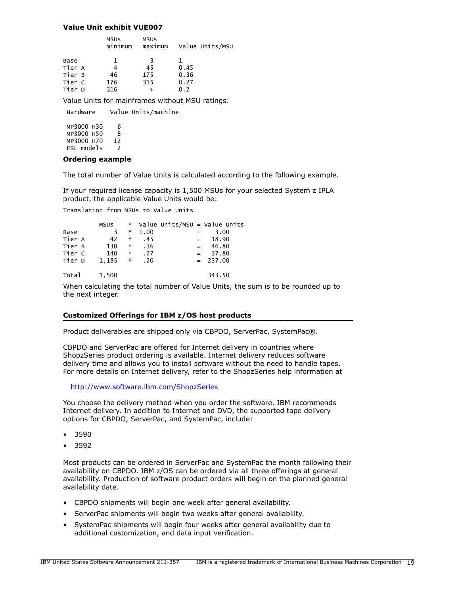#### Value Unit exhibit VUE007

|        | <b>MSUS</b><br>minimum | <b>MSUS</b><br>maximum | Value Units/MSU |
|--------|------------------------|------------------------|-----------------|
| Base   | 1.                     | 3                      | ı               |
| Tier A |                        | 45                     | 0.45            |
| Tier B | 46                     | 175                    | 0.36            |
| Tier C | 176                    | 315                    | 0.27            |
| Tier D | 316                    |                        | 0.2             |
|        |                        |                        |                 |

Value Units for mainframes without MSU ratings:

 Hardware Value Units/machine MP3000 H30 6 MP3000 H50 8 MP3000 H70 12 ESL models 2

#### Ordering example

The total number of Value Units is calculated according to the following example.

If your required license capacity is 1,500 MSUs for your selected System z IPLA product, the applicable Value Units would be:

Translation from MSUs to Value Units

| Base<br>Tier A<br>Tier B | <b>MSUS</b><br>3<br>42<br>130 | A.<br>$\mathcal{R}$<br>÷.<br>*<br>* | 1.00<br>.45<br>.36 | $=$ $-$<br>$=$ | Value Units/MSU = Value Units<br>3.00<br>18.90<br>46.80 |
|--------------------------|-------------------------------|-------------------------------------|--------------------|----------------|---------------------------------------------------------|
| Tier C<br>Tier D         | 140<br>1.185                  | ×.                                  | .27<br>.20         | $=$            | 37.80<br>$= 237.00$                                     |
| Total                    | 1.500                         |                                     |                    |                | 343.50                                                  |

When calculating the total number of Value Units, the sum is to be rounded up to the next integer.

#### Customized Offerings for IBM z/OS host products

Product deliverables are shipped only via CBPDO, ServerPac, SystemPac®.

CBPDO and ServerPac are offered for Internet delivery in countries where ShopzSeries product ordering is available. Internet delivery reduces software delivery time and allows you to install software without the need to handle tapes. For more details on Internet delivery, refer to the ShopzSeries help information at

#### <http://www.software.ibm.com/ShopzSeries>

You choose the delivery method when you order the software. IBM recommends Internet delivery. In addition to Internet and DVD, the supported tape delivery options for CBPDO, ServerPac, and SystemPac, include:

- 3590
- 3592

Most products can be ordered in ServerPac and SystemPac the month following their availability on CBPDO. IBM z/OS can be ordered via all three offerings at general availability. Production of software product orders will begin on the planned general availability date.

- CBPDO shipments will begin one week after general availability.
- ServerPac shipments will begin two weeks after general availability.
- SystemPac shipments will begin four weeks after general availability due to additional customization, and data input verification.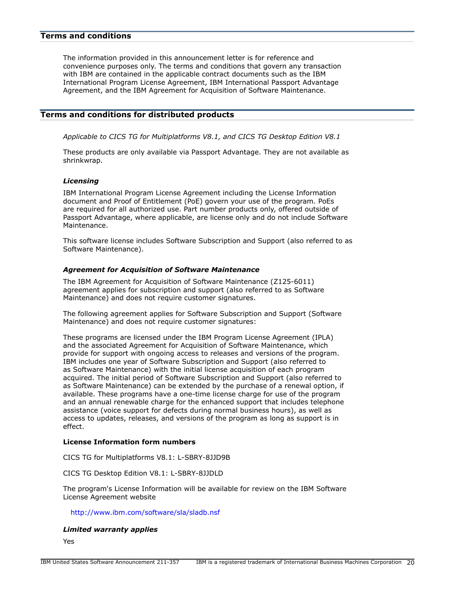#### <span id="page-19-0"></span>Terms and conditions

The information provided in this announcement letter is for reference and convenience purposes only. The terms and conditions that govern any transaction with IBM are contained in the applicable contract documents such as the IBM International Program License Agreement, IBM International Passport Advantage Agreement, and the IBM Agreement for Acquisition of Software Maintenance.

#### Terms and conditions for distributed products

*Applicable to CICS TG for Multiplatforms V8.1, and CICS TG Desktop Edition V8.1*

These products are only available via Passport Advantage. They are not available as shrinkwrap.

#### *Licensing*

IBM International Program License Agreement including the License Information document and Proof of Entitlement (PoE) govern your use of the program. PoEs are required for all authorized use. Part number products only, offered outside of Passport Advantage, where applicable, are license only and do not include Software Maintenance.

This software license includes Software Subscription and Support (also referred to as Software Maintenance).

#### *Agreement for Acquisition of Software Maintenance*

The IBM Agreement for Acquisition of Software Maintenance (Z125-6011) agreement applies for subscription and support (also referred to as Software Maintenance) and does not require customer signatures.

The following agreement applies for Software Subscription and Support (Software Maintenance) and does not require customer signatures:

These programs are licensed under the IBM Program License Agreement (IPLA) and the associated Agreement for Acquisition of Software Maintenance, which provide for support with ongoing access to releases and versions of the program. IBM includes one year of Software Subscription and Support (also referred to as Software Maintenance) with the initial license acquisition of each program acquired. The initial period of Software Subscription and Support (also referred to as Software Maintenance) can be extended by the purchase of a renewal option, if available. These programs have a one-time license charge for use of the program and an annual renewable charge for the enhanced support that includes telephone assistance (voice support for defects during normal business hours), as well as access to updates, releases, and versions of the program as long as support is in effect.

## License Information form numbers

CICS TG for Multiplatforms V8.1: L-SBRY-8JJD9B

CICS TG Desktop Edition V8.1: L-SBRY-8JJDLD

The program's License Information will be available for review on the IBM Software License Agreement website

<http://www.ibm.com/software/sla/sladb.nsf>

#### *Limited warranty applies*

Yes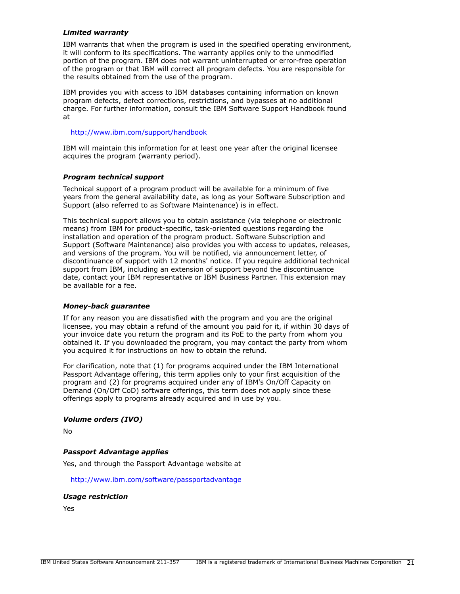## *Limited warranty*

IBM warrants that when the program is used in the specified operating environment, it will conform to its specifications. The warranty applies only to the unmodified portion of the program. IBM does not warrant uninterrupted or error-free operation of the program or that IBM will correct all program defects. You are responsible for the results obtained from the use of the program.

IBM provides you with access to IBM databases containing information on known program defects, defect corrections, restrictions, and bypasses at no additional charge. For further information, consult the IBM Software Support Handbook found at

#### <http://www.ibm.com/support/handbook>

IBM will maintain this information for at least one year after the original licensee acquires the program (warranty period).

#### *Program technical support*

Technical support of a program product will be available for a minimum of five years from the general availability date, as long as your Software Subscription and Support (also referred to as Software Maintenance) is in effect.

This technical support allows you to obtain assistance (via telephone or electronic means) from IBM for product-specific, task-oriented questions regarding the installation and operation of the program product. Software Subscription and Support (Software Maintenance) also provides you with access to updates, releases, and versions of the program. You will be notified, via announcement letter, of discontinuance of support with 12 months' notice. If you require additional technical support from IBM, including an extension of support beyond the discontinuance date, contact your IBM representative or IBM Business Partner. This extension may be available for a fee.

#### *Money-back guarantee*

If for any reason you are dissatisfied with the program and you are the original licensee, you may obtain a refund of the amount you paid for it, if within 30 days of your invoice date you return the program and its PoE to the party from whom you obtained it. If you downloaded the program, you may contact the party from whom you acquired it for instructions on how to obtain the refund.

For clarification, note that (1) for programs acquired under the IBM International Passport Advantage offering, this term applies only to your first acquisition of the program and (2) for programs acquired under any of IBM's On/Off Capacity on Demand (On/Off CoD) software offerings, this term does not apply since these offerings apply to programs already acquired and in use by you.

#### *Volume orders (IVO)*

No

#### *Passport Advantage applies*

Yes, and through the Passport Advantage website at

<http://www.ibm.com/software/passportadvantage>

#### *Usage restriction*

Yes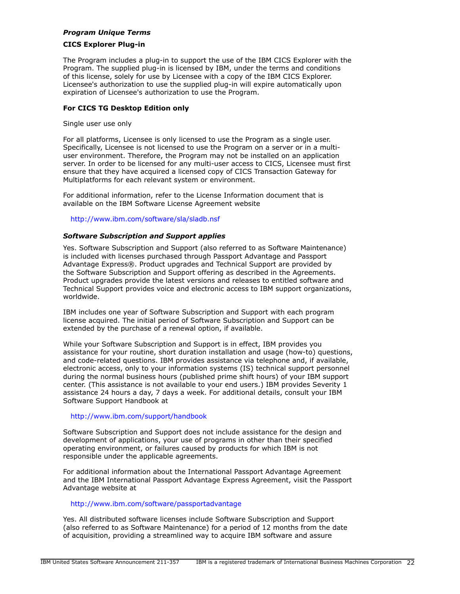## *Program Unique Terms*

#### CICS Explorer Plug-in

The Program includes a plug-in to support the use of the IBM CICS Explorer with the Program. The supplied plug-in is licensed by IBM, under the terms and conditions of this license, solely for use by Licensee with a copy of the IBM CICS Explorer. Licensee's authorization to use the supplied plug-in will expire automatically upon expiration of Licensee's authorization to use the Program.

#### For CICS TG Desktop Edition only

Single user use only

For all platforms, Licensee is only licensed to use the Program as a single user. Specifically, Licensee is not licensed to use the Program on a server or in a multiuser environment. Therefore, the Program may not be installed on an application server. In order to be licensed for any multi-user access to CICS, Licensee must first ensure that they have acquired a licensed copy of CICS Transaction Gateway for Multiplatforms for each relevant system or environment.

For additional information, refer to the License Information document that is available on the IBM Software License Agreement website

<http://www.ibm.com/software/sla/sladb.nsf>

## *Software Subscription and Support applies*

Yes. Software Subscription and Support (also referred to as Software Maintenance) is included with licenses purchased through Passport Advantage and Passport Advantage Express®. Product upgrades and Technical Support are provided by the Software Subscription and Support offering as described in the Agreements. Product upgrades provide the latest versions and releases to entitled software and Technical Support provides voice and electronic access to IBM support organizations, worldwide.

IBM includes one year of Software Subscription and Support with each program license acquired. The initial period of Software Subscription and Support can be extended by the purchase of a renewal option, if available.

While your Software Subscription and Support is in effect, IBM provides you assistance for your routine, short duration installation and usage (how-to) questions, and code-related questions. IBM provides assistance via telephone and, if available, electronic access, only to your information systems (IS) technical support personnel during the normal business hours (published prime shift hours) of your IBM support center. (This assistance is not available to your end users.) IBM provides Severity 1 assistance 24 hours a day, 7 days a week. For additional details, consult your IBM Software Support Handbook at

#### <http://www.ibm.com/support/handbook>

Software Subscription and Support does not include assistance for the design and development of applications, your use of programs in other than their specified operating environment, or failures caused by products for which IBM is not responsible under the applicable agreements.

For additional information about the International Passport Advantage Agreement and the IBM International Passport Advantage Express Agreement, visit the Passport Advantage website at

## <http://www.ibm.com/software/passportadvantage>

Yes. All distributed software licenses include Software Subscription and Support (also referred to as Software Maintenance) for a period of 12 months from the date of acquisition, providing a streamlined way to acquire IBM software and assure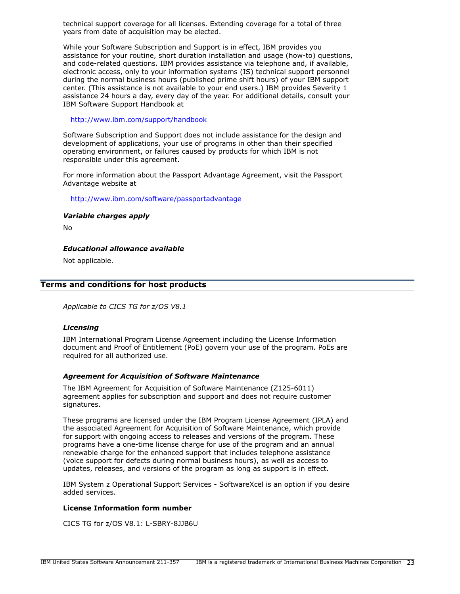technical support coverage for all licenses. Extending coverage for a total of three years from date of acquisition may be elected.

While your Software Subscription and Support is in effect, IBM provides you assistance for your routine, short duration installation and usage (how-to) questions, and code-related questions. IBM provides assistance via telephone and, if available, electronic access, only to your information systems (IS) technical support personnel during the normal business hours (published prime shift hours) of your IBM support center. (This assistance is not available to your end users.) IBM provides Severity 1 assistance 24 hours a day, every day of the year. For additional details, consult your IBM Software Support Handbook at

<http://www.ibm.com/support/handbook>

Software Subscription and Support does not include assistance for the design and development of applications, your use of programs in other than their specified operating environment, or failures caused by products for which IBM is not responsible under this agreement.

For more information about the Passport Advantage Agreement, visit the Passport Advantage website at

<http://www.ibm.com/software/passportadvantage>

*Variable charges apply*

No

*Educational allowance available*

Not applicable.

## Terms and conditions for host products

*Applicable to CICS TG for z/OS V8.1*

#### *Licensing*

IBM International Program License Agreement including the License Information document and Proof of Entitlement (PoE) govern your use of the program. PoEs are required for all authorized use.

## *Agreement for Acquisition of Software Maintenance*

The IBM Agreement for Acquisition of Software Maintenance (Z125-6011) agreement applies for subscription and support and does not require customer signatures.

These programs are licensed under the IBM Program License Agreement (IPLA) and the associated Agreement for Acquisition of Software Maintenance, which provide for support with ongoing access to releases and versions of the program. These programs have a one-time license charge for use of the program and an annual renewable charge for the enhanced support that includes telephone assistance (voice support for defects during normal business hours), as well as access to updates, releases, and versions of the program as long as support is in effect.

IBM System z Operational Support Services - SoftwareXcel is an option if you desire added services.

#### License Information form number

CICS TG for z/OS V8.1: L-SBRY-8JJB6U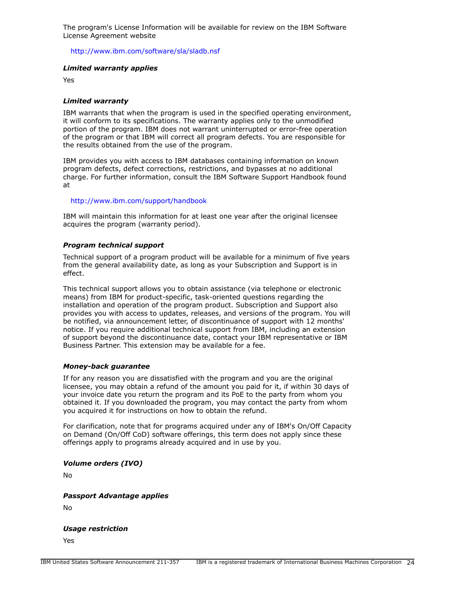The program's License Information will be available for review on the IBM Software License Agreement website

<http://www.ibm.com/software/sla/sladb.nsf>

#### *Limited warranty applies*

Yes

#### *Limited warranty*

IBM warrants that when the program is used in the specified operating environment, it will conform to its specifications. The warranty applies only to the unmodified portion of the program. IBM does not warrant uninterrupted or error-free operation of the program or that IBM will correct all program defects. You are responsible for the results obtained from the use of the program.

IBM provides you with access to IBM databases containing information on known program defects, defect corrections, restrictions, and bypasses at no additional charge. For further information, consult the IBM Software Support Handbook found at

#### <http://www.ibm.com/support/handbook>

IBM will maintain this information for at least one year after the original licensee acquires the program (warranty period).

## *Program technical support*

Technical support of a program product will be available for a minimum of five years from the general availability date, as long as your Subscription and Support is in effect.

This technical support allows you to obtain assistance (via telephone or electronic means) from IBM for product-specific, task-oriented questions regarding the installation and operation of the program product. Subscription and Support also provides you with access to updates, releases, and versions of the program. You will be notified, via announcement letter, of discontinuance of support with 12 months' notice. If you require additional technical support from IBM, including an extension of support beyond the discontinuance date, contact your IBM representative or IBM Business Partner. This extension may be available for a fee.

#### *Money-back guarantee*

If for any reason you are dissatisfied with the program and you are the original licensee, you may obtain a refund of the amount you paid for it, if within 30 days of your invoice date you return the program and its PoE to the party from whom you obtained it. If you downloaded the program, you may contact the party from whom you acquired it for instructions on how to obtain the refund.

For clarification, note that for programs acquired under any of IBM's On/Off Capacity on Demand (On/Off CoD) software offerings, this term does not apply since these offerings apply to programs already acquired and in use by you.

*Volume orders (IVO)*

No

*Passport Advantage applies*

No

*Usage restriction*

Yes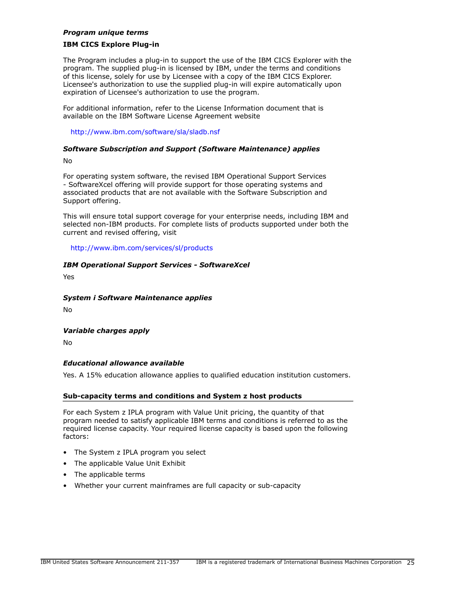#### *Program unique terms*

#### IBM CICS Explore Plug-in

The Program includes a plug-in to support the use of the IBM CICS Explorer with the program. The supplied plug-in is licensed by IBM, under the terms and conditions of this license, solely for use by Licensee with a copy of the IBM CICS Explorer. Licensee's authorization to use the supplied plug-in will expire automatically upon expiration of Licensee's authorization to use the program.

For additional information, refer to the License Information document that is available on the IBM Software License Agreement website

<http://www.ibm.com/software/sla/sladb.nsf>

## *Software Subscription and Support (Software Maintenance) applies*

No

For operating system software, the revised IBM Operational Support Services - SoftwareXcel offering will provide support for those operating systems and associated products that are not available with the Software Subscription and Support offering.

This will ensure total support coverage for your enterprise needs, including IBM and selected non-IBM products. For complete lists of products supported under both the current and revised offering, visit

<http://www.ibm.com/services/sl/products>

## *IBM Operational Support Services - SoftwareXcel*

Yes

## *System i Software Maintenance applies*

No

## *Variable charges apply*

No

## *Educational allowance available*

Yes. A 15% education allowance applies to qualified education institution customers.

#### Sub-capacity terms and conditions and System z host products

For each System z IPLA program with Value Unit pricing, the quantity of that program needed to satisfy applicable IBM terms and conditions is referred to as the required license capacity. Your required license capacity is based upon the following factors:

- The System z IPLA program you select
- The applicable Value Unit Exhibit
- The applicable terms
- Whether your current mainframes are full capacity or sub-capacity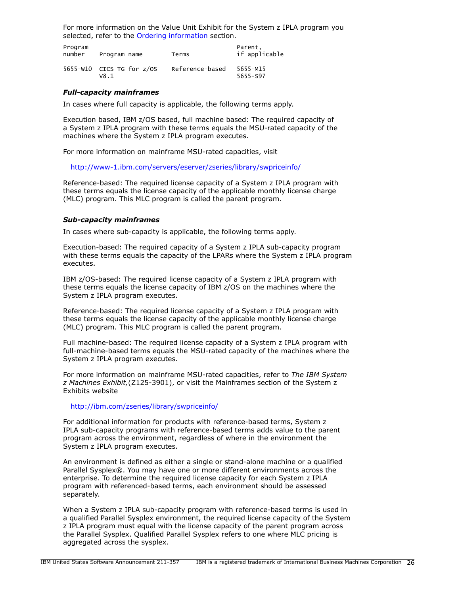For more information on the Value Unit Exhibit for the System z IPLA program you selected, refer to the [Ordering information](#page-11-0) section.

| Program<br>number | Program name                          | Terms           | Parent.<br>if applicable |
|-------------------|---------------------------------------|-----------------|--------------------------|
|                   | $5655-W10$ CICS TG for $z/OS$<br>v8.1 | Reference-based | 5655-M15<br>5655-597     |

#### *Full-capacity mainframes*

In cases where full capacity is applicable, the following terms apply.

Execution based, IBM z/OS based, full machine based: The required capacity of a System z IPLA program with these terms equals the MSU-rated capacity of the machines where the System z IPLA program executes.

For more information on mainframe MSU-rated capacities, visit

<http://www-1.ibm.com/servers/eserver/zseries/library/swpriceinfo/>

Reference-based: The required license capacity of a System z IPLA program with these terms equals the license capacity of the applicable monthly license charge (MLC) program. This MLC program is called the parent program.

#### *Sub-capacity mainframes*

In cases where sub-capacity is applicable, the following terms apply.

Execution-based: The required capacity of a System z IPLA sub-capacity program with these terms equals the capacity of the LPARs where the System z IPLA program executes.

IBM z/OS-based: The required license capacity of a System z IPLA program with these terms equals the license capacity of IBM z/OS on the machines where the System z IPLA program executes.

Reference-based: The required license capacity of a System z IPLA program with these terms equals the license capacity of the applicable monthly license charge (MLC) program. This MLC program is called the parent program.

Full machine-based: The required license capacity of a System z IPLA program with full-machine-based terms equals the MSU-rated capacity of the machines where the System z IPLA program executes.

For more information on mainframe MSU-rated capacities, refer to *The IBM System z Machines Exhibit,*(Z125-3901), or visit the Mainframes section of the System z Exhibits website

#### <http://ibm.com/zseries/library/swpriceinfo/>

For additional information for products with reference-based terms, System z IPLA sub-capacity programs with reference-based terms adds value to the parent program across the environment, regardless of where in the environment the System z IPLA program executes.

An environment is defined as either a single or stand-alone machine or a qualified Parallel Sysplex®. You may have one or more different environments across the enterprise. To determine the required license capacity for each System z IPLA program with referenced-based terms, each environment should be assessed separately.

When a System z IPLA sub-capacity program with reference-based terms is used in a qualified Parallel Sysplex environment, the required license capacity of the System z IPLA program must equal with the license capacity of the parent program across the Parallel Sysplex. Qualified Parallel Sysplex refers to one where MLC pricing is aggregated across the sysplex.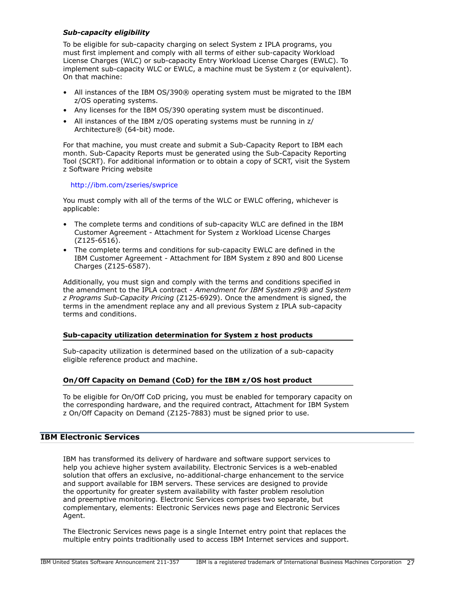## *Sub-capacity eligibility*

To be eligible for sub-capacity charging on select System z IPLA programs, you must first implement and comply with all terms of either sub-capacity Workload License Charges (WLC) or sub-capacity Entry Workload License Charges (EWLC). To implement sub-capacity WLC or EWLC, a machine must be System z (or equivalent). On that machine:

- All instances of the IBM OS/390® operating system must be migrated to the IBM z/OS operating systems.
- Any licenses for the IBM OS/390 operating system must be discontinued.
- All instances of the IBM z/OS operating systems must be running in z/ Architecture® (64-bit) mode.

For that machine, you must create and submit a Sub-Capacity Report to IBM each month. Sub-Capacity Reports must be generated using the Sub-Capacity Reporting Tool (SCRT). For additional information or to obtain a copy of SCRT, visit the System z Software Pricing website

## <http://ibm.com/zseries/swprice>

You must comply with all of the terms of the WLC or EWLC offering, whichever is applicable:

- The complete terms and conditions of sub-capacity WLC are defined in the IBM Customer Agreement - Attachment for System z Workload License Charges (Z125-6516).
- The complete terms and conditions for sub-capacity EWLC are defined in the IBM Customer Agreement - Attachment for IBM System z 890 and 800 License Charges (Z125-6587).

Additionally, you must sign and comply with the terms and conditions specified in the amendment to the IPLA contract - *Amendment for IBM System z9® and System z Programs Sub-Capacity Pricing* (Z125-6929). Once the amendment is signed, the terms in the amendment replace any and all previous System z IPLA sub-capacity terms and conditions.

## Sub-capacity utilization determination for System z host products

Sub-capacity utilization is determined based on the utilization of a sub-capacity eligible reference product and machine.

## On/Off Capacity on Demand (CoD) for the IBM z/OS host product

To be eligible for On/Off CoD pricing, you must be enabled for temporary capacity on the corresponding hardware, and the required contract, Attachment for IBM System z On/Off Capacity on Demand (Z125-7883) must be signed prior to use.

# IBM Electronic Services

IBM has transformed its delivery of hardware and software support services to help you achieve higher system availability. Electronic Services is a web-enabled solution that offers an exclusive, no-additional-charge enhancement to the service and support available for IBM servers. These services are designed to provide the opportunity for greater system availability with faster problem resolution and preemptive monitoring. Electronic Services comprises two separate, but complementary, elements: Electronic Services news page and Electronic Services Agent.

The Electronic Services news page is a single Internet entry point that replaces the multiple entry points traditionally used to access IBM Internet services and support.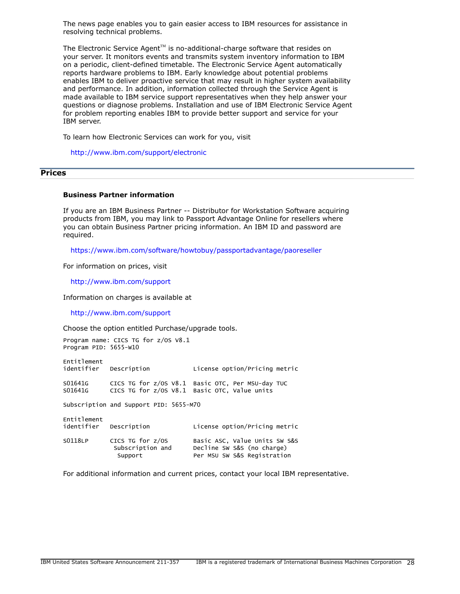The news page enables you to gain easier access to IBM resources for assistance in resolving technical problems.

The Electronic Service Agent $T^M$  is no-additional-charge software that resides on your server. It monitors events and transmits system inventory information to IBM on a periodic, client-defined timetable. The Electronic Service Agent automatically reports hardware problems to IBM. Early knowledge about potential problems enables IBM to deliver proactive service that may result in higher system availability and performance. In addition, information collected through the Service Agent is made available to IBM service support representatives when they help answer your questions or diagnose problems. Installation and use of IBM Electronic Service Agent for problem reporting enables IBM to provide better support and service for your IBM server.

To learn how Electronic Services can work for you, visit

<http://www.ibm.com/support/electronic>

## <span id="page-27-0"></span>**Prices**

## Business Partner information

If you are an IBM Business Partner -- Distributor for Workstation Software acquiring products from IBM, you may link to Passport Advantage Online for resellers where you can obtain Business Partner pricing information. An IBM ID and password are required.

<https://www.ibm.com/software/howtobuy/passportadvantage/paoreseller>

For information on prices, visit

<http://www.ibm.com/support>

Information on charges is available at

<http://www.ibm.com/support>

Choose the option entitled Purchase/upgrade tools.

Program name: CICS TG for z/OS V8.1 Program PID: 5655-W10 Entitlement<br>identifier Description License option/Pricing metric S01641G CICS TG for z/OS V8.1 Basic OTC, Per MSU-day TUC S01641G CICS TG for z/OS V8.1 Basic OTC, Value units Subscription and Support PID: 5655-M70 Entitlement<br>identifier Description License option/Pricing metric

| S0118LP | CICS TG for z/0S | Basic ASC, Value Units SW S&S |
|---------|------------------|-------------------------------|
|         | Subscription and | Decline SW S&S (no charge)    |
|         | Support          | Per MSU SW S&S Registration   |

For additional information and current prices, contact your local IBM representative.